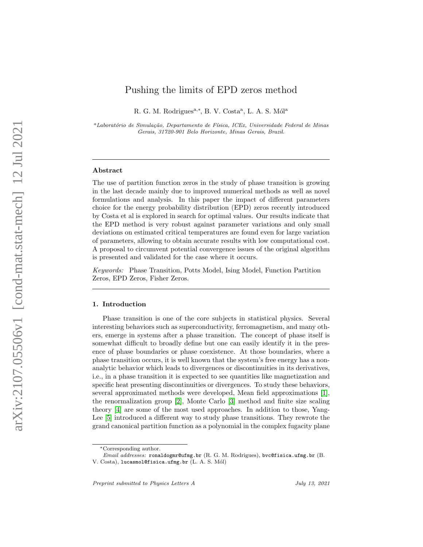# Pushing the limits of EPD zeros method

R. G. M. Rodrigues<sup>a,\*</sup>, B. V. Costa<sup>a</sup>, L. A. S. Mól<sup>a</sup>

 $a<sup>a</sup>Laboratório de Simulação, Departamento de Física, ICEx, Universidade Federal de Minas$ Gerais, 31720-901 Belo Horizonte, Minas Gerais, Brazil.

#### Abstract

The use of partition function zeros in the study of phase transition is growing in the last decade mainly due to improved numerical methods as well as novel formulations and analysis. In this paper the impact of different parameters choice for the energy probability distribution (EPD) zeros recently introduced by Costa et al is explored in search for optimal values. Our results indicate that the EPD method is very robust against parameter variations and only small deviations on estimated critical temperatures are found even for large variation of parameters, allowing to obtain accurate results with low computational cost. A proposal to circumvent potential convergence issues of the original algorithm is presented and validated for the case where it occurs.

Keywords: Phase Transition, Potts Model, Ising Model, Function Partition Zeros, EPD Zeros, Fisher Zeros.

## 1. Introduction

Phase transition is one of the core subjects in statistical physics. Several interesting behaviors such as superconductivity, ferromagnetism, and many others, emerge in systems after a phase transition. The concept of phase itself is somewhat difficult to broadly define but one can easily identify it in the presence of phase boundaries or phase coexistence. At those boundaries, where a phase transition occurs, it is well known that the system's free energy has a nonanalytic behavior which leads to divergences or discontinuities in its derivatives, i.e., in a phase transition it is expected to see quantities like magnetization and specific heat presenting discontinuities or divergences. To study these behaviors, several approximated methods were developed, Mean field approximations [\[1\]](#page-11-0), the renormalization group [\[2\]](#page-11-1), Monte Carlo [\[3\]](#page-12-0) method and finite size scaling theory [\[4\]](#page-12-1) are some of the most used approaches. In addition to those, Yang-Lee [\[5\]](#page-12-2) introduced a different way to study phase transitions. They rewrote the grand canonical partition function as a polynomial in the complex fugacity plane

<sup>∗</sup>Corresponding author.

Email addresses: ronaldogmr@ufmg.br (R. G. M. Rodrigues), bvc@fisica.ufmg.br (B.

V. Costa), lucasmol@fisica.ufmg.br (L. A. S. Mól)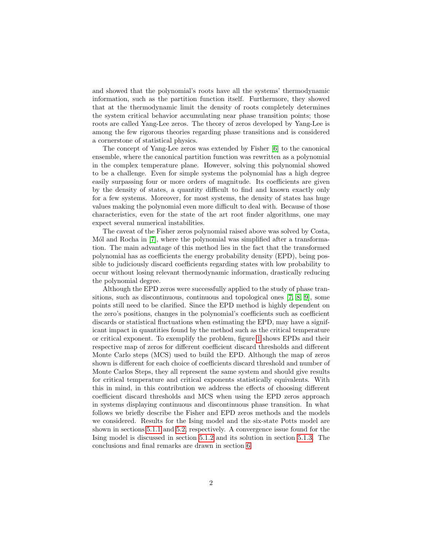and showed that the polynomial's roots have all the systems' thermodynamic information, such as the partition function itself. Furthermore, they showed that at the thermodynamic limit the density of roots completely determines the system critical behavior accumulating near phase transition points; those roots are called Yang-Lee zeros. The theory of zeros developed by Yang-Lee is among the few rigorous theories regarding phase transitions and is considered a cornerstone of statistical physics.

The concept of Yang-Lee zeros was extended by Fisher [\[6\]](#page-12-3) to the canonical ensemble, where the canonical partition function was rewritten as a polynomial in the complex temperature plane. However, solving this polynomial showed to be a challenge. Even for simple systems the polynomial has a high degree easily surpassing four or more orders of magnitude. Its coefficients are given by the density of states, a quantity difficult to find and known exactly only for a few systems. Moreover, for most systems, the density of states has huge values making the polynomial even more difficult to deal with. Because of those characteristics, even for the state of the art root finder algorithms, one may expect several numerical instabilities.

The caveat of the Fisher zeros polynomial raised above was solved by Costa, Mól and Rocha in [\[7\]](#page-12-4), where the polynomial was simplified after a transformation. The main advantage of this method lies in the fact that the transformed polynomial has as coefficients the energy probability density (EPD), being possible to judiciously discard coefficients regarding states with low probability to occur without losing relevant thermodynamic information, drastically reducing the polynomial degree.

Although the EPD zeros were successfully applied to the study of phase transitions, such as discontinuous, continuous and topological ones [\[7,](#page-12-4) [8,](#page-12-5) [9\]](#page-12-6), some points still need to be clarified. Since the EPD method is highly dependent on the zero's positions, changes in the polynomial's coefficients such as coefficient discards or statistical fluctuations when estimating the EPD, may have a significant impact in quantities found by the method such as the critical temperature or critical exponent. To exemplify the problem, figure [1](#page-2-0) shows EPDs and their respective map of zeros for different coefficient discard thresholds and different Monte Carlo steps (MCS) used to build the EPD. Although the map of zeros shown is different for each choice of coefficients discard threshold and number of Monte Carlos Steps, they all represent the same system and should give results for critical temperature and critical exponents statistically equivalents. With this in mind, in this contribution we address the effects of choosing different coefficient discard thresholds and MCS when using the EPD zeros approach in systems displaying continuous and discontinuous phase transition. In what follows we briefly describe the Fisher and EPD zeros methods and the models we considered. Results for the Ising model and the six-state Potts model are shown in sections [5.1.1](#page-5-0) and [5.2,](#page-9-0) respectively. A convergence issue found for the Ising model is discussed in section [5.1.2](#page-6-0) and its solution in section [5.1.3.](#page-6-1) The conclusions and final remarks are drawn in section [6.](#page-10-0)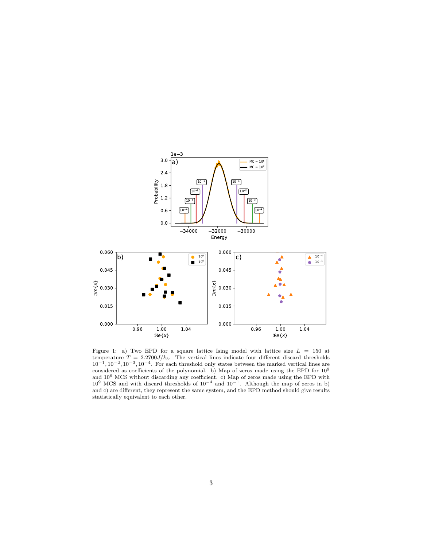

<span id="page-2-0"></span>Figure 1: a) Two EPD for a square lattice Ising model with lattice size  $L = 150$  at temperature  $T = 2.2700J/k_b$ . The vertical lines indicate four different discard thresholds  $10^{-1}$ ,  $10^{-2}$ ,  $10^{-3}$ ,  $10^{-4}$ . For each threshold only states between the marked vertical lines are considered as coefficients of the polynomial. b) Map of zeros made using the EPD for 10<sup>9</sup> and 10<sup>6</sup> MCS without discarding any coefficient. c) Map of zeros made using the EPD with  $10^9$  MCS and with discard thresholds of  $10^{-4}$  and  $10^{-1}$ . Although the map of zeros in b) and c) are different, they represent the same system, and the EPD method should give results statistically equivalent to each other.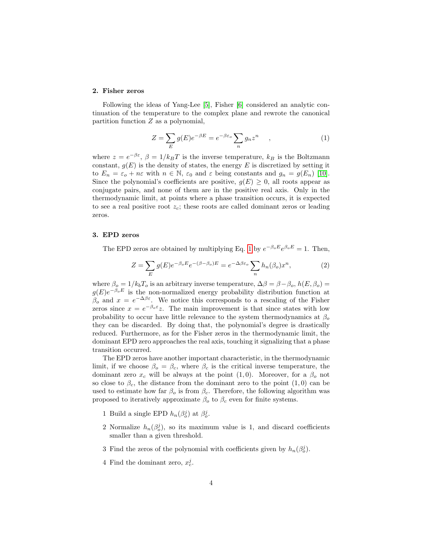# 2. Fisher zeros

<span id="page-3-0"></span>Following the ideas of Yang-Lee [\[5\]](#page-12-2), Fisher [\[6\]](#page-12-3) considered an analytic continuation of the temperature to the complex plane and rewrote the canonical partition function Z as a polynomial,

$$
Z = \sum_{E} g(E)e^{-\beta E} = e^{-\beta \varepsilon_o} \sum_{n} g_n z^n \qquad , \tag{1}
$$

where  $z = e^{-\beta \varepsilon}$ ,  $\beta = 1/k_B T$  is the inverse temperature,  $k_B$  is the Boltzmann constant,  $g(E)$  is the density of states, the energy E is discretized by setting it to  $E_n = \varepsilon_o + n\varepsilon$  with  $n \in \mathbb{N}$ ,  $\varepsilon_0$  and  $\varepsilon$  being constants and  $g_n = g(E_n)$  [\[10\]](#page-12-7). Since the polynomial's coefficients are positive,  $g(E) \geq 0$ , all roots appear as conjugate pairs, and none of them are in the positive real axis. Only in the thermodynamic limit, at points where a phase transition occurs, it is expected to see a real positive root  $z_c$ ; these roots are called dominant zeros or leading zeros.

### <span id="page-3-1"></span>3. EPD zeros

The EPD zeros are obtained by multiplying Eq. [1](#page-3-0) by  $e^{-\beta_o E}e^{\beta_o E} = 1$ . Then,

$$
Z = \sum_{E} g(E)e^{-\beta_o E}e^{-(\beta - \beta_o)E} = e^{-\Delta\beta\varepsilon_o} \sum_{n} h_n(\beta_o) x^n,
$$
 (2)

where  $\beta_o = 1/k_bT_o$  is an arbitrary inverse temperature,  $\Delta \beta = \beta - \beta_o$ ,  $h(E, \beta_o) =$  $g(E)e^{-\beta_o E}$  is the non-normalized energy probability distribution function at  $β<sub>o</sub>$  and  $x = e^{-\Delta β \epsilon}$ . We notice this corresponds to a rescaling of the Fisher zeros since  $x = e^{-\beta_o \varepsilon} z$ . The main improvement is that since states with low probability to occur have little relevance to the system thermodynamics at  $\beta_0$ they can be discarded. By doing that, the polynomial's degree is drastically reduced. Furthermore, as for the Fisher zeros in the thermodynamic limit, the dominant EPD zero approaches the real axis, touching it signalizing that a phase transition occurred.

The EPD zeros have another important characteristic, in the thermodynamic limit, if we choose  $\beta_o = \beta_c$ , where  $\beta_c$  is the critical inverse temperature, the dominant zero  $x_c$  will be always at the point  $(1, 0)$ . Moreover, for a  $\beta_o$  not so close to  $\beta_c$ , the distance from the dominant zero to the point  $(1,0)$  can be used to estimate how far  $\beta_o$  is from  $\beta_c$ . Therefore, the following algorithm was proposed to iteratively approximate  $\beta_0$  to  $\beta_c$  even for finite systems.

- 1 Build a single EPD  $h_n(\beta_o^j)$  at  $\beta_o^j$ .
- 2 Normalize  $h_n(\beta_o^j)$ , so its maximum value is 1, and discard coefficients smaller than a given threshold.
- 3 Find the zeros of the polynomial with coefficients given by  $h_n(\beta_o^j)$ .
- 4 Find the dominant zero,  $x_c^j$ .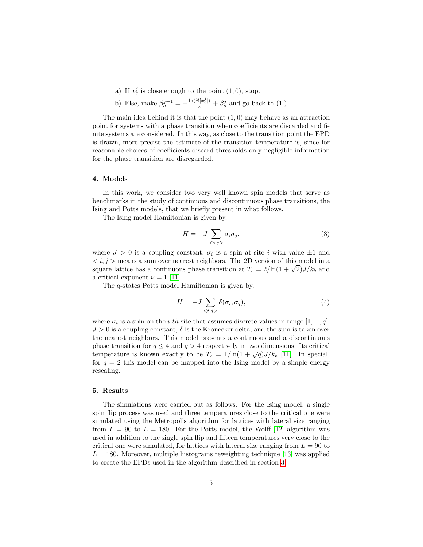- a) If  $x_c^j$  is close enough to the point  $(1,0)$ , stop.
- b) Else, make  $\beta_o^{j+1} = -\frac{\ln(\Re[x_c^j])}{\varepsilon} + \beta_o^j$  and go back to (1.).

The main idea behind it is that the point  $(1, 0)$  may behave as an attraction point for systems with a phase transition when coefficients are discarded and finite systems are considered. In this way, as close to the transition point the EPD is drawn, more precise the estimate of the transition temperature is, since for reasonable choices of coefficients discard thresholds only negligible information for the phase transition are disregarded.

# 4. Models

In this work, we consider two very well known spin models that serve as benchmarks in the study of continuous and discontinuous phase transitions, the Ising and Potts models, that we briefly present in what follows.

The Ising model Hamiltonian is given by,

$$
H = -J \sum_{\langle i,j \rangle} \sigma_i \sigma_j,\tag{3}
$$

where  $J > 0$  is a coupling constant,  $\sigma_i$  is a spin at site i with value  $\pm 1$  and  $\langle i, j \rangle$  means a sum over nearest neighbors. The 2D version of this model in a  $\langle s, \iota, \iota \rangle$  is means a sum over nearest neighbors. The 2D version of this model in a square lattice has a continuous phase transition at  $T_c = 2/\ln(1 + \sqrt{2})J/k_b$  and a critical exponent  $\nu = 1$  [\[11\]](#page-12-8).

The q-states Potts model Hamiltonian is given by,

$$
H = -J \sum_{\langle i,j \rangle} \delta(\sigma_i, \sigma_j), \tag{4}
$$

where  $\sigma_i$  is a spin on the *i-th* site that assumes discrete values in range  $[1, ..., q]$ ,  $J > 0$  is a coupling constant,  $\delta$  is the Kronecker delta, and the sum is taken over the nearest neighbors. This model presents a continuous and a discontinuous phase transition for  $q \leq 4$  and  $q > 4$  respectively in two dimensions. Its critical temperature is known exactly to be  $T_c = 1/\ln(1 + \sqrt{q})J/k_b$  [\[11\]](#page-12-8). In special, for  $q = 2$  this model can be mapped into the Ising model by a simple energy rescaling.

# 5. Results

The simulations were carried out as follows. For the Ising model, a single spin flip process was used and three temperatures close to the critical one were simulated using the Metropolis algorithm for lattices with lateral size ranging from  $L = 90$  to  $L = 180$ . For the Potts model, the Wolff [\[12\]](#page-12-9) algorithm was used in addition to the single spin flip and fifteen temperatures very close to the critical one were simulated, for lattices with lateral size ranging from  $L = 90$  to  $L = 180$ . Moreover, multiple histograms reweighting technique [\[13\]](#page-13-0) was applied to create the EPDs used in the algorithm described in section [3.](#page-3-1)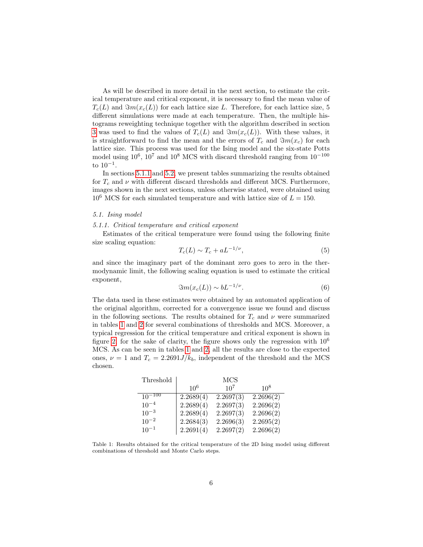As will be described in more detail in the next section, to estimate the critical temperature and critical exponent, it is necessary to find the mean value of  $T_c(L)$  and  $\Im m(x_c(L))$  for each lattice size L. Therefore, for each lattice size, 5 different simulations were made at each temperature. Then, the multiple histograms reweighting technique together with the algorithm described in section [3](#page-3-1) was used to find the values of  $T_c(L)$  and  $\Im m(x_c(L))$ . With these values, it is straightforward to find the mean and the errors of  $T_c$  and  $\Im m(x_c)$  for each lattice size. This process was used for the Ising model and the six-state Potts model using  $10^6$ ,  $10^7$  and  $10^8$  MCS with discard threshold ranging from  $10^{-100}$ to 10−<sup>1</sup> .

In sections [5.1.1](#page-5-0) and [5.2,](#page-9-0) we present tables summarizing the results obtained for  $T_c$  and  $\nu$  with different discard thresholds and different MCS. Furthermore, images shown in the next sections, unless otherwise stated, were obtained using  $10^6$  MCS for each simulated temperature and with lattice size of  $L = 150$ .

#### 5.1. Ising model

#### <span id="page-5-0"></span>5.1.1. Critical temperature and critical exponent

Estimates of the critical temperature were found using the following finite size scaling equation:

$$
T_c(L) \sim T_c + aL^{-1/\nu},\tag{5}
$$

and since the imaginary part of the dominant zero goes to zero in the thermodynamic limit, the following scaling equation is used to estimate the critical exponent,

$$
\Im m(x_c(L)) \sim bL^{-1/\nu}.
$$
\n(6)

The data used in these estimates were obtained by an automated application of the original algorithm, corrected for a convergence issue we found and discuss in the following sections. The results obtained for  $T_c$  and  $\nu$  were summarized in tables [1](#page-5-1) and [2](#page-6-2) for several combinations of thresholds and MCS. Moreover, a typical regression for the critical temperature and critical exponent is shown in figure [2,](#page-6-3) for the sake of clarity, the figure shows only the regression with  $10^6$ MCS. As can be seen in tables [1](#page-5-1) and [2,](#page-6-2) all the results are close to the expected ones,  $\nu = 1$  and  $T_c = 2.2691 J/k_b$ , independent of the threshold and the MCS chosen.

| Threshold   |           | MCS       |           |
|-------------|-----------|-----------|-----------|
|             | $10^{6}$  | $10^{7}$  | $10^{8}$  |
| $10^{-100}$ | 2.2689(4) | 2.2697(3) | 2.2696(2) |
| $10^{-4}$   | 2.2689(4) | 2.2697(3) | 2.2696(2) |
| $10^{-3}$   | 2.2689(4) | 2.2697(3) | 2.2696(2) |
| $10^{-2}$   | 2.2684(3) | 2.2696(3) | 2.2695(2) |
| $10^{-1}$   | 2.2691(4) | 2.2697(2) | 2.2696(2) |

<span id="page-5-1"></span>Table 1: Results obtained for the critical temperature of the 2D Ising model using different combinations of threshold and Monte Carlo steps.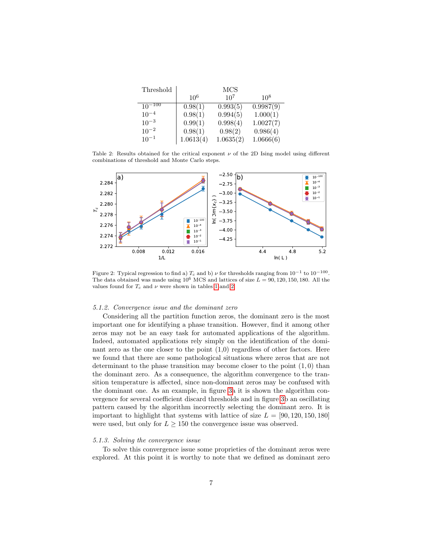| Threshold   |           | <b>MCS</b> |           |
|-------------|-----------|------------|-----------|
|             | $10^{6}$  | $10^{7}$   | $10^{8}$  |
| $10^{-100}$ | 0.98(1)   | 0.993(5)   | 0.9987(9) |
| $10^{-4}$   | 0.98(1)   | 0.994(5)   | 1.000(1)  |
| $10^{-3}$   | 0.99(1)   | 0.998(4)   | 1.0027(7) |
| $10^{-2}$   | 0.98(1)   | 0.98(2)    | 0.986(4)  |
| $10^{-1}$   | 1.0613(4) | 1.0635(2)  | 1.0666(6) |

<span id="page-6-2"></span>Table 2: Results obtained for the critical exponent  $\nu$  of the 2D Ising model using different combinations of threshold and Monte Carlo steps.



<span id="page-6-3"></span>Figure 2: Typical regression to find a)  $T_c$  and b)  $\nu$  for thresholds ranging from  $10^{-1}$  to  $10^{-100}$ . The data obtained was made using  $10^6$  MCS and lattices of size  $L = 90, 120, 150, 180$ . All the values found for  $T_c$  and  $\nu$  were shown in tables [1](#page-5-1) and [2](#page-6-2)

#### <span id="page-6-0"></span>5.1.2. Convergence issue and the dominant zero

Considering all the partition function zeros, the dominant zero is the most important one for identifying a phase transition. However, find it among other zeros may not be an easy task for automated applications of the algorithm. Indeed, automated applications rely simply on the identification of the dominant zero as the one closer to the point  $(1,0)$  regardless of other factors. Here we found that there are some pathological situations where zeros that are not determinant to the phase transition may become closer to the point  $(1,0)$  than the dominant zero. As a consequence, the algorithm convergence to the transition temperature is affected, since non-dominant zeros may be confused with the dominant one. As an example, in figure [3a](#page-7-0) it is shown the algorithm convergence for several coefficient discard thresholds and in figure [3b](#page-7-0) an oscillating pattern caused by the algorithm incorrectly selecting the dominant zero. It is important to highlight that systems with lattice of size  $L = [90, 120, 150, 180]$ were used, but only for  $L \geq 150$  the convergence issue was observed.

### <span id="page-6-1"></span>5.1.3. Solving the convergence issue

To solve this convergence issue some proprieties of the dominant zeros were explored. At this point it is worthy to note that we defined as dominant zero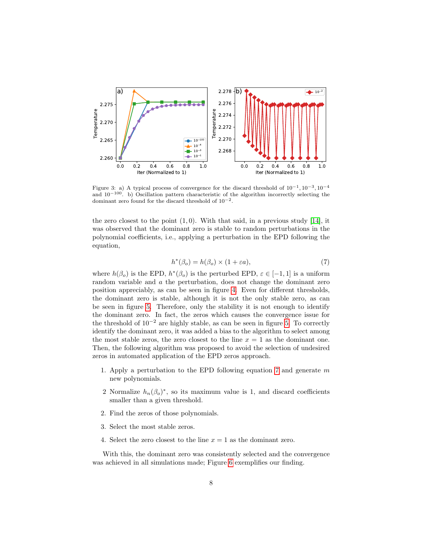

<span id="page-7-0"></span>Figure 3: a) A typical process of convergence for the discard threshold of  $10^{-1}$ ,  $10^{-3}$ ,  $10^{-4}$ and  $10^{-100}$ . b) Oscillation pattern characteristic of the algorithm incorrectly selecting the dominant zero found for the discard threshold of 10−<sup>2</sup> .

the zero closest to the point  $(1, 0)$ . With that said, in a previous study [\[14\]](#page-13-1), it was observed that the dominant zero is stable to random perturbations in the polynomial coefficients, i.e., applying a perturbation in the EPD following the equation,

$$
h^*(\beta_o) = h(\beta_o) \times (1 + \varepsilon a),\tag{7}
$$

<span id="page-7-1"></span>where  $h(\beta_o)$  is the EPD,  $h^*(\beta_o)$  is the perturbed EPD,  $\varepsilon \in [-1,1]$  is a uniform random variable and a the perturbation, does not change the dominant zero position appreciably, as can be seen in figure [4.](#page-8-0) Even for different thresholds, the dominant zero is stable, although it is not the only stable zero, as can be seen in figure [5.](#page-8-1) Therefore, only the stability it is not enough to identify the dominant zero. In fact, the zeros which causes the convergence issue for the threshold of  $10^{-2}$  are highly stable, as can be seen in figure [5.](#page-8-1) To correctly identify the dominant zero, it was added a bias to the algorithm to select among the most stable zeros, the zero closest to the line  $x = 1$  as the dominant one. Then, the following algorithm was proposed to avoid the selection of undesired zeros in automated application of the EPD zeros approach.

- 1. Apply a perturbation to the EPD following equation [7](#page-7-1) and generate  $m$ new polynomials.
- 2 Normalize  $h_n(\beta_o)^*$ , so its maximum value is 1, and discard coefficients smaller than a given threshold.
- 2. Find the zeros of those polynomials.
- 3. Select the most stable zeros.
- 4. Select the zero closest to the line  $x = 1$  as the dominant zero.

With this, the dominant zero was consistently selected and the convergence was achieved in all simulations made; Figure [6](#page-9-1) exemplifies our finding.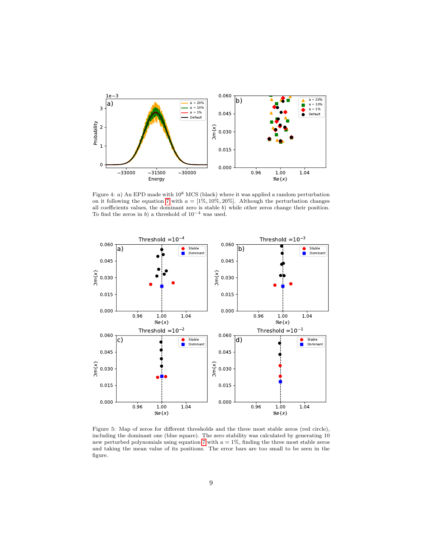

<span id="page-8-0"></span>Figure 4: a) An EPD made with  $10^8$  MCS (black) where it was applied a random perturbation on it following the equation [7](#page-7-1) with  $a = [1\%, 10\%, 20\%]$ . Although the perturbation changes all coefficients values, the dominant zero is stable b) while other zeros change their position. To find the zeros in b) a threshold of  $10^{-4}$  was used.



<span id="page-8-1"></span>Figure 5: Map of zeros for different thresholds and the three most stable zeros (red circle), including the dominant one (blue square). The zero stability was calculated by generating 10 new perturbed polynomials using equation [7](#page-7-1) with  $a = 1\%$ , finding the three most stable zeros and taking the mean value of its positions. The error bars are too small to be seen in the figure.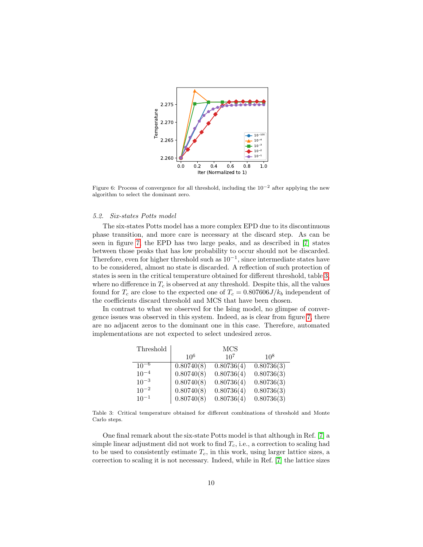

<span id="page-9-1"></span>Figure 6: Process of convergence for all threshold, including the  $10^{-2}$  after applying the new algorithm to select the dominant zero.

# <span id="page-9-0"></span>5.2. Six-states Potts model

The six-states Potts model has a more complex EPD due to its discontinuous phase transition, and more care is necessary at the discard step. As can be seen in figure [7,](#page-10-1) the EPD has two large peaks, and as described in [\[7\]](#page-12-4) states between those peaks that has low probability to occur should not be discarded. Therefore, even for higher threshold such as  $10^{-1}$ , since intermediate states have to be considered, almost no state is discarded. A reflection of such protection of states is seen in the critical temperature obtained for different threshold, table [3,](#page-9-2) where no difference in  $T_c$  is observed at any threshold. Despite this, all the values found for  $T_c$  are close to the expected one of  $T_c = 0.807606 J/k_b$  independent of the coefficients discard threshold and MCS that have been chosen.

In contrast to what we observed for the Ising model, no glimpse of convergence issues was observed in this system. Indeed, as is clear from figure [7,](#page-10-1) there are no adjacent zeros to the dominant one in this case. Therefore, automated implementations are not expected to select undesired zeros.

| Threshold |            | <b>MCS</b>      |            |
|-----------|------------|-----------------|------------|
|           | $10^{6}$   | 10 <sup>7</sup> | $10^{8}$   |
| $10^{-6}$ | 0.80740(8) | 0.80736(4)      | 0.80736(3) |
| $10^{-4}$ | 0.80740(8) | 0.80736(4)      | 0.80736(3) |
| $10^{-3}$ | 0.80740(8) | 0.80736(4)      | 0.80736(3) |
| $10^{-2}$ | 0.80740(8) | 0.80736(4)      | 0.80736(3) |
| $10^{-1}$ | 0.80740(8) | 0.80736(4)      | 0.80736(3) |

<span id="page-9-2"></span>Table 3: Critical temperature obtained for different combinations of threshold and Monte Carlo steps.

One final remark about the six-state Potts model is that although in Ref. [\[7\]](#page-12-4) a simple linear adjustment did not work to find  $T_c$ , i.e., a correction to scaling had to be used to consistently estimate  $T_c$ , in this work, using larger lattice sizes, a correction to scaling it is not necessary. Indeed, while in Ref. [\[7\]](#page-12-4) the lattice sizes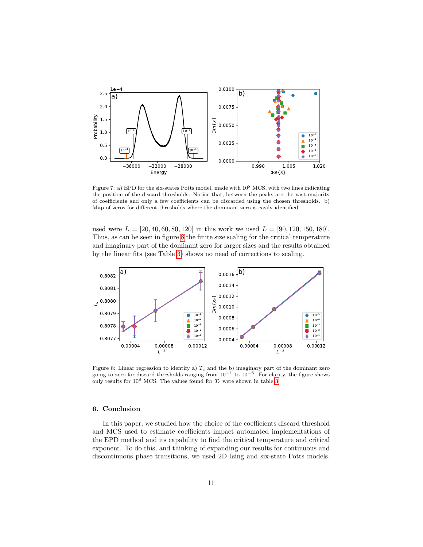

<span id="page-10-1"></span>Figure 7: a) EPD for the six-states Potts model, made with  $10^8$  MCS, with two lines indicating the position of the discard thresholds. Notice that, between the peaks are the vast majority of coefficients and only a few coefficients can be discarded using the chosen thresholds. b) Map of zeros for different thresholds where the dominant zero is easily identified.

used were  $L = [20, 40, 60, 80, 120]$  in this work we used  $L = [90, 120, 150, 180]$ . Thus, as can be seen in figure [8](#page-10-2) the finite size scaling for the critical temperature and imaginary part of the dominant zero for larger sizes and the results obtained by the linear fits (see Table [3\)](#page-9-2) shows no need of corrections to scaling.



<span id="page-10-2"></span>Figure 8: Linear regression to identify a)  $T_c$  and the b) imaginary part of the dominant zero going to zero for discard thresholds ranging from  $10^{-1}$  to  $10^{-6}$ . For clarity, the figure shows only results for  $10^8$  MCS. The values found for  $T_c$  were shown in table [3.](#page-9-2)

# <span id="page-10-0"></span>6. Conclusion

In this paper, we studied how the choice of the coefficients discard threshold and MCS used to estimate coefficients impact automated implementations of the EPD method and its capability to find the critical temperature and critical exponent. To do this, and thinking of expanding our results for continuous and discontinuous phase transitions, we used 2D Ising and six-state Potts models.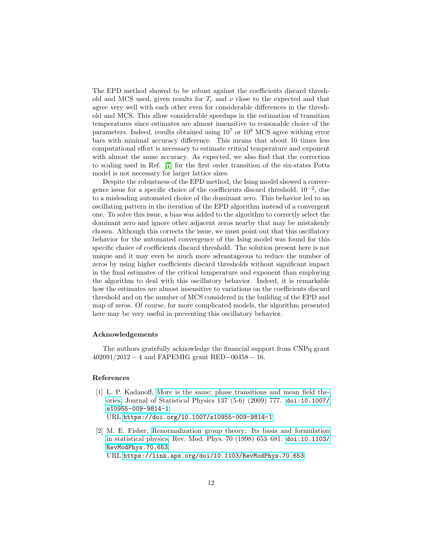The EPD method showed to be robust against the coefficients discard threshold and MCS used, given results for  $T_c$  and  $\nu$  close to the expected and that agree very well with each other even for considerable differences in the threshold and MCS. This allow considerable speedups in the estimation of transition temperatures since estimates are almost insensitive to reasonable choice of the parameters. Indeed, results obtained using  $10^7$  or  $10^8$  MCS agree withing error bars with minimal accuracy difference. This means that about 10 times less computational effort is necessary to estimate critical temperature and exponent with almost the same accuracy. As expected, we also find that the correction to scaling used in Ref. [\[7\]](#page-12-4) for the first order transition of the six-states Potts model is not necessary for larger lattice sizes.

Despite the robustness of the EPD method, the Ising model showed a convergence issue for a specific choice of the coefficients discard threshold,  $10^{-2}$ , due to a misleading automated choice of the dominant zero. This behavior led to an oscillating pattern in the iteration of the EPD algorithm instead of a convergent one. To solve this issue, a bias was added to the algorithm to correctly select the dominant zero and ignore other adjacent zeros nearby that may be mistakenly chosen. Although this corrects the issue, we must point out that this oscillatory behavior for the automated convergence of the Ising model was found for this specific choice of coefficients discard threshold. The solution present here is not unique and it may even be much more advantageous to reduce the number of zeros by using higher coefficients discard thresholds without significant impact in the final estimates of the critical temperature and exponent than employing the algorithm to deal with this oscillatory behavior. Indeed, it is remarkable how the estimates are almost insensitive to variations on the coefficients discard threshold and on the number of MCS considered in the building of the EPD and map of zeros. Of course, for more complicated models, the algorithm presented here may be very useful in preventing this oscillatory behavior.

# Acknowledgements

The authors gratefully acknowledge the financial support from CNPq grant 402091/2012 − 4 and FAPEMIG grant RED−00458 − 16.

### References

- <span id="page-11-0"></span>[1] L. P. Kadanoff, [More is the same; phase transitions and mean field the](https://doi.org/10.1007/s10955-009-9814-1)[ories,](https://doi.org/10.1007/s10955-009-9814-1) Journal of Statistical Physics 137 (5-6) (2009) 777. [doi:10.1007/](https://doi.org/10.1007/s10955-009-9814-1) [s10955-009-9814-1](https://doi.org/10.1007/s10955-009-9814-1). URL <https://doi.org/10.1007/s10955-009-9814-1>
- <span id="page-11-1"></span>[2] M. E. Fisher, [Renormalization group theory: Its basis and formulation](https://link.aps.org/doi/10.1103/RevModPhys.70.653) [in statistical physics,](https://link.aps.org/doi/10.1103/RevModPhys.70.653) Rev. Mod. Phys. 70 (1998) 653–681. [doi:10.1103/](https://doi.org/10.1103/RevModPhys.70.653) [RevModPhys.70.653](https://doi.org/10.1103/RevModPhys.70.653). URL <https://link.aps.org/doi/10.1103/RevModPhys.70.653>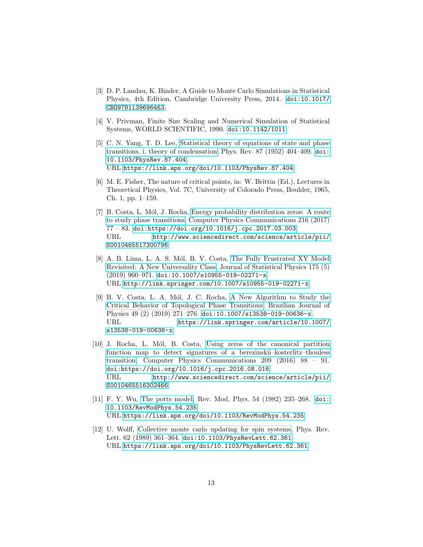- <span id="page-12-0"></span>[3] D. P. Landau, K. Binder, A Guide to Monte Carlo Simulations in Statistical Physics, 4th Edition, Cambridge University Press, 2014. [doi:10.1017/](https://doi.org/10.1017/CBO9781139696463) [CBO9781139696463](https://doi.org/10.1017/CBO9781139696463).
- <span id="page-12-1"></span>[4] V. Privman, Finite Size Scaling and Numerical Simulation of Statistical Systems, WORLD SCIENTIFIC, 1990. [doi:10.1142/1011](https://doi.org/10.1142/1011).
- <span id="page-12-2"></span>[5] C. N. Yang, T. D. Lee, [Statistical theory of equations of state and phase](https://link.aps.org/doi/10.1103/PhysRev.87.404) [transitions. i. theory of condensation,](https://link.aps.org/doi/10.1103/PhysRev.87.404) Phys. Rev. 87 (1952) 404–409. [doi:](https://doi.org/10.1103/PhysRev.87.404) [10.1103/PhysRev.87.404](https://doi.org/10.1103/PhysRev.87.404). URL <https://link.aps.org/doi/10.1103/PhysRev.87.404>
- <span id="page-12-3"></span>[6] M. E. Fisher, The nature of critical points, in: W. Brittin (Ed.), Lectures in Theoretical Physics, Vol. 7C, University of Colorado Press, Boulder, 1965, Ch. 1, pp. 1–159.
- <span id="page-12-4"></span>[7] B. Costa, L. Mól, J. Rocha, [Energy probability distribution zeros: A route](http://www.sciencedirect.com/science/article/pii/S0010465517300796) [to study phase transitions,](http://www.sciencedirect.com/science/article/pii/S0010465517300796) Computer Physics Communications 216 (2017) 77 – 83. [doi:https://doi.org/10.1016/j.cpc.2017.03.003](https://doi.org/https://doi.org/10.1016/j.cpc.2017.03.003). URL [http://www.sciencedirect.com/science/article/pii/](http://www.sciencedirect.com/science/article/pii/S0010465517300796) [S0010465517300796](http://www.sciencedirect.com/science/article/pii/S0010465517300796)
- <span id="page-12-5"></span>[8] A. B. Lima, L. A. S. Mól, B. V. Costa, [The Fully Frustrated XY Model](http://link.springer.com/10.1007/s10955-019-02271-x) [Revisited: A New Universality Class,](http://link.springer.com/10.1007/s10955-019-02271-x) Journal of Statistical Physics 175 (5)  $(2019)$  960-971. [doi:10.1007/s10955-019-02271-x](https://doi.org/10.1007/s10955-019-02271-x). URL <http://link.springer.com/10.1007/s10955-019-02271-x>
- <span id="page-12-6"></span>[9] B. V. Costa, L. A. Mól, J. C. Rocha, [A New Algorithm to Study the](https://link.springer.com/article/10.1007/s13538-019-00636-x) [Critical Behavior of Topological Phase Transitions,](https://link.springer.com/article/10.1007/s13538-019-00636-x) Brazilian Journal of Physics 49 (2) (2019) 271-276. [doi:10.1007/s13538-019-00636-x](https://doi.org/10.1007/s13538-019-00636-x). URL [https://link.springer.com/article/10.1007/](https://link.springer.com/article/10.1007/s13538-019-00636-x) [s13538-019-00636-x](https://link.springer.com/article/10.1007/s13538-019-00636-x)
- <span id="page-12-7"></span>[10] J. Rocha, L. Mól, B. Costa, [Using zeros of the canonical partition](http://www.sciencedirect.com/science/article/pii/S0010465516302466) [function map to detect signatures of a berezinskii–kosterlitz–thouless](http://www.sciencedirect.com/science/article/pii/S0010465516302466) [transition,](http://www.sciencedirect.com/science/article/pii/S0010465516302466) Computer Physics Communications 209 (2016) 88 – 91. [doi:https://doi.org/10.1016/j.cpc.2016.08.016](https://doi.org/https://doi.org/10.1016/j.cpc.2016.08.016). URL [http://www.sciencedirect.com/science/article/pii/](http://www.sciencedirect.com/science/article/pii/S0010465516302466) [S0010465516302466](http://www.sciencedirect.com/science/article/pii/S0010465516302466)
- <span id="page-12-8"></span>[11] F. Y. Wu, [The potts model,](https://link.aps.org/doi/10.1103/RevModPhys.54.235) Rev. Mod. Phys. 54 (1982) 235–268. [doi:](https://doi.org/10.1103/RevModPhys.54.235) [10.1103/RevModPhys.54.235](https://doi.org/10.1103/RevModPhys.54.235). URL <https://link.aps.org/doi/10.1103/RevModPhys.54.235>
- <span id="page-12-9"></span>[12] U. Wolff, [Collective monte carlo updating for spin systems,](https://link.aps.org/doi/10.1103/PhysRevLett.62.361) Phys. Rev. Lett. 62 (1989) 361–364. [doi:10.1103/PhysRevLett.62.361](https://doi.org/10.1103/PhysRevLett.62.361). URL <https://link.aps.org/doi/10.1103/PhysRevLett.62.361>